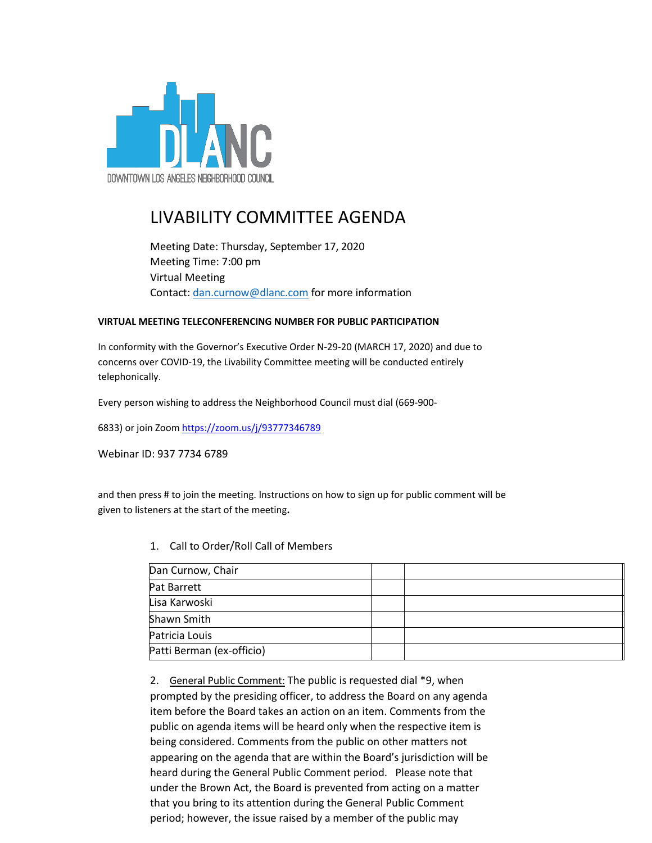

## LIVABILITY COMMITTEE AGENDA

Meeting Date: Thursday, September 17, 2020 Meeting Time: 7:00 pm Virtual Meeting Contact: [dan.curnow@dlanc.com](mailto:dan.curnow@dlanc.com) for more information

## **VIRTUAL MEETING TELECONFERENCING NUMBER FOR PUBLIC PARTICIPATION**

In conformity with the Governor's Executive Order N-29-20 (MARCH 17, 2020) and due to concerns over COVID-19, the Livability Committee meeting will be conducted entirely telephonically.

Every person wishing to address the Neighborhood Council must dial (669-900-

6833) or join Zoom https://zoom.us/j/93777346789

Webinar ID: 937 7734 6789

and then press # to join the meeting. Instructions on how to sign up for public comment will be given to listeners at the start of the meeting**.**

1. Call to Order/Roll Call of Members

| Dan Curnow, Chair         |  |
|---------------------------|--|
| Pat Barrett               |  |
| Lisa Karwoski             |  |
| Shawn Smith               |  |
| Patricia Louis            |  |
| Patti Berman (ex-officio) |  |

2. General Public Comment: The public is requested dial \*9, when prompted by the presiding officer, to address the Board on any agenda item before the Board takes an action on an item. Comments from the public on agenda items will be heard only when the respective item is being considered. Comments from the public on other matters not appearing on the agenda that are within the Board's jurisdiction will be heard during the General Public Comment period. Please note that under the Brown Act, the Board is prevented from acting on a matter that you bring to its attention during the General Public Comment period; however, the issue raised by a member of the public may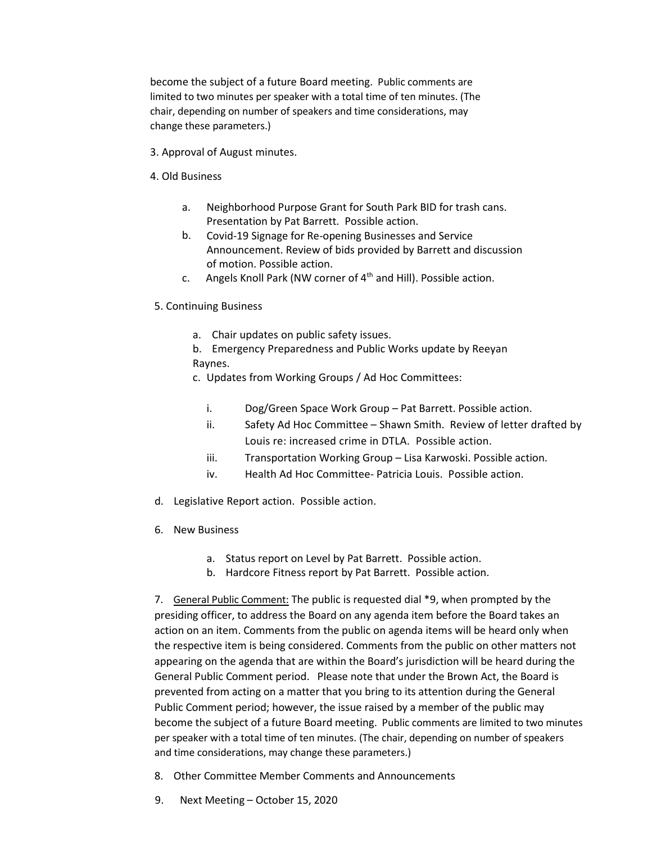become the subject of a future Board meeting. Public comments are limited to two minutes per speaker with a total time of ten minutes. (The chair, depending on number of speakers and time considerations, may change these parameters.)

- 3. Approval of August minutes.
- 4. Old Business
	- a. Neighborhood Purpose Grant for South Park BID for trash cans. Presentation by Pat Barrett. Possible action.
	- b. Covid-19 Signage for Re-opening Businesses and Service Announcement. Review of bids provided by Barrett and discussion of motion. Possible action.
	- c. Angels Knoll Park (NW corner of  $4<sup>th</sup>$  and Hill). Possible action.
- 5. Continuing Business
	- a. Chair updates on public safety issues.
	- b. Emergency Preparedness and Public Works update by Reeyan Raynes.
	- c. Updates from Working Groups / Ad Hoc Committees:
		- i. Dog/Green Space Work Group Pat Barrett. Possible action.
		- ii. Safety Ad Hoc Committee Shawn Smith. Review of letter drafted by Louis re: increased crime in DTLA. Possible action.
		- iii. Transportation Working Group Lisa Karwoski. Possible action.
		- iv. Health Ad Hoc Committee- Patricia Louis. Possible action.
- d. Legislative Report action. Possible action.
- 6. New Business
	- a. Status report on Level by Pat Barrett. Possible action.
	- b. Hardcore Fitness report by Pat Barrett. Possible action.

7. General Public Comment: The public is requested dial \*9, when prompted by the presiding officer, to address the Board on any agenda item before the Board takes an action on an item. Comments from the public on agenda items will be heard only when the respective item is being considered. Comments from the public on other matters not appearing on the agenda that are within the Board's jurisdiction will be heard during the General Public Comment period. Please note that under the Brown Act, the Board is prevented from acting on a matter that you bring to its attention during the General Public Comment period; however, the issue raised by a member of the public may become the subject of a future Board meeting. Public comments are limited to two minutes per speaker with a total time of ten minutes. (The chair, depending on number of speakers and time considerations, may change these parameters.)

- 8. Other Committee Member Comments and Announcements
- 9. Next Meeting October 15, 2020